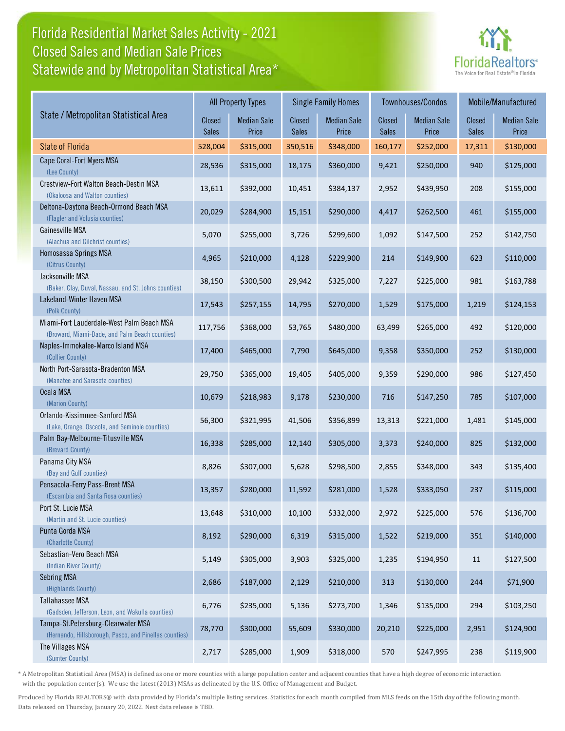## Florida Residential Market Sales Activity - 2021 Statewide and by Metropolitan Statistical Area\* Closed Sales and Median Sale Prices



|                                                                                              |                 | <b>All Property Types</b>   |                        | <b>Single Family Homes</b>  |                               | Townhouses/Condos           | Mobile/Manufactured |                             |
|----------------------------------------------------------------------------------------------|-----------------|-----------------------------|------------------------|-----------------------------|-------------------------------|-----------------------------|---------------------|-----------------------------|
| State / Metropolitan Statistical Area                                                        | Closed<br>Sales | <b>Median Sale</b><br>Price | Closed<br><b>Sales</b> | <b>Median Sale</b><br>Price | <b>Closed</b><br><b>Sales</b> | <b>Median Sale</b><br>Price | Closed<br>Sales     | <b>Median Sale</b><br>Price |
| <b>State of Florida</b>                                                                      | 528,004         | \$315,000                   | 350,516                | \$348,000                   | 160,177                       | \$252,000                   | 17,311              | \$130,000                   |
| Cape Coral-Fort Myers MSA<br>(Lee County)                                                    | 28,536          | \$315,000                   | 18,175                 | \$360,000                   | 9,421                         | \$250,000                   | 940                 | \$125,000                   |
| Crestview-Fort Walton Beach-Destin MSA<br>(Okaloosa and Walton counties)                     | 13,611          | \$392,000                   | 10,451                 | \$384,137                   | 2,952                         | \$439,950                   | 208                 | \$155,000                   |
| Deltona-Daytona Beach-Ormond Beach MSA<br>(Flagler and Volusia counties)                     | 20,029          | \$284,900                   | 15,151                 | \$290,000                   | 4,417                         | \$262,500                   | 461                 | \$155,000                   |
| Gainesville MSA<br>(Alachua and Gilchrist counties)                                          | 5,070           | \$255,000                   | 3,726                  | \$299,600                   | 1,092                         | \$147,500                   | 252                 | \$142,750                   |
| Homosassa Springs MSA<br>(Citrus County)                                                     | 4,965           | \$210,000                   | 4,128                  | \$229,900                   | 214                           | \$149,900                   | 623                 | \$110,000                   |
| Jacksonville MSA<br>(Baker, Clay, Duval, Nassau, and St. Johns counties)                     | 38,150          | \$300,500                   | 29,942                 | \$325,000                   | 7,227                         | \$225,000                   | 981                 | \$163,788                   |
| Lakeland-Winter Haven MSA<br>(Polk County)                                                   | 17,543          | \$257,155                   | 14,795                 | \$270,000                   | 1,529                         | \$175,000                   | 1,219               | \$124,153                   |
| Miami-Fort Lauderdale-West Palm Beach MSA<br>(Broward, Miami-Dade, and Palm Beach counties)  | 117,756         | \$368,000                   | 53,765                 | \$480,000                   | 63,499                        | \$265,000                   | 492                 | \$120,000                   |
| Naples-Immokalee-Marco Island MSA<br>(Collier County)                                        | 17,400          | \$465,000                   | 7,790                  | \$645,000                   | 9,358                         | \$350,000                   | 252                 | \$130,000                   |
| North Port-Sarasota-Bradenton MSA<br>(Manatee and Sarasota counties)                         | 29,750          | \$365,000                   | 19,405                 | \$405,000                   | 9,359                         | \$290,000                   | 986                 | \$127,450                   |
| Ocala MSA<br>(Marion County)                                                                 | 10,679          | \$218,983                   | 9,178                  | \$230,000                   | 716                           | \$147,250                   | 785                 | \$107,000                   |
| Orlando-Kissimmee-Sanford MSA<br>(Lake, Orange, Osceola, and Seminole counties)              | 56,300          | \$321,995                   | 41,506                 | \$356,899                   | 13,313                        | \$221,000                   | 1,481               | \$145,000                   |
| Palm Bay-Melbourne-Titusville MSA<br>(Brevard County)                                        | 16,338          | \$285,000                   | 12,140                 | \$305,000                   | 3,373                         | \$240,000                   | 825                 | \$132,000                   |
| Panama City MSA<br>(Bay and Gulf counties)                                                   | 8,826           | \$307,000                   | 5,628                  | \$298,500                   | 2,855                         | \$348,000                   | 343                 | \$135,400                   |
| Pensacola-Ferry Pass-Brent MSA<br>(Escambia and Santa Rosa counties)                         | 13,357          | \$280,000                   | 11,592                 | \$281,000                   | 1,528                         | \$333,050                   | 237                 | \$115,000                   |
| Port St. Lucie MSA<br>(Martin and St. Lucie counties)                                        | 13,648          | \$310,000                   | 10,100                 | \$332,000                   | 2,972                         | \$225,000                   | 576                 | \$136,700                   |
| Punta Gorda MSA<br>(Charlotte County)                                                        | 8,192           | \$290,000                   | 6,319                  | \$315,000                   | 1,522                         | \$219,000                   | 351                 | \$140,000                   |
| Sebastian-Vero Beach MSA<br>(Indian River County)                                            | 5,149           | \$305,000                   | 3,903                  | \$325,000                   | 1,235                         | \$194,950                   | 11                  | \$127,500                   |
| Sebring MSA<br>(Highlands County)                                                            | 2,686           | \$187,000                   | 2,129                  | \$210,000                   | 313                           | \$130,000                   | 244                 | \$71,900                    |
| Tallahassee MSA<br>(Gadsden, Jefferson, Leon, and Wakulla counties)                          | 6,776           | \$235,000                   | 5,136                  | \$273,700                   | 1,346                         | \$135,000                   | 294                 | \$103,250                   |
| Tampa-St.Petersburg-Clearwater MSA<br>(Hernando, Hillsborough, Pasco, and Pinellas counties) | 78,770          | \$300,000                   | 55,609                 | \$330,000                   | 20,210                        | \$225,000                   | 2,951               | \$124,900                   |
| The Villages MSA<br>(Sumter County)                                                          | 2,717           | \$285,000                   | 1,909                  | \$318,000                   | 570                           | \$247,995                   | 238                 | \$119,900                   |

\* A Metropolitan Statistical Area (MSA) is defined as one or more counties with a large population center and adjacent counties that have a high degree of economic interaction with the population center(s). We use the latest (2013) MSAs as delineated by the U.S. Office of Management and Budget.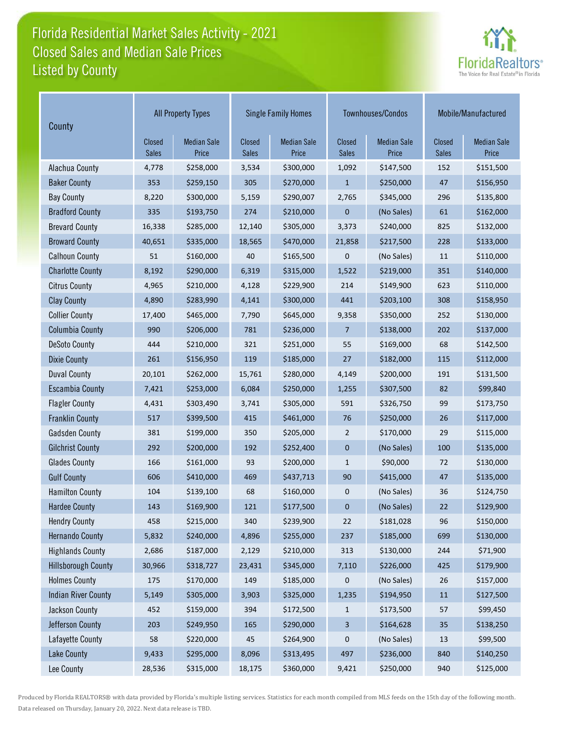## Florida Residential Market Sales Activity - 2021 Listed by County Closed Sales and Median Sale Prices



| County                     | <b>All Property Types</b> |                             |                        | <b>Single Family Homes</b>  |                         | Townhouses/Condos           | Mobile/Manufactured           |                             |
|----------------------------|---------------------------|-----------------------------|------------------------|-----------------------------|-------------------------|-----------------------------|-------------------------------|-----------------------------|
|                            | Closed<br><b>Sales</b>    | <b>Median Sale</b><br>Price | Closed<br><b>Sales</b> | <b>Median Sale</b><br>Price | Closed<br>Sales         | <b>Median Sale</b><br>Price | <b>Closed</b><br><b>Sales</b> | <b>Median Sale</b><br>Price |
| Alachua County             | 4,778                     | \$258,000                   | 3,534                  | \$300,000                   | 1,092                   | \$147,500                   | 152                           | \$151,500                   |
| <b>Baker County</b>        | 353                       | \$259,150                   | 305                    | \$270,000                   | $\mathbf{1}$            | \$250,000                   | 47                            | \$156,950                   |
| <b>Bay County</b>          | 8,220                     | \$300,000                   | 5,159                  | \$290,007                   | 2,765                   | \$345,000                   | 296                           | \$135,800                   |
| <b>Bradford County</b>     | 335                       | \$193,750                   | 274                    | \$210,000                   | 0                       | (No Sales)                  | 61                            | \$162,000                   |
| <b>Brevard County</b>      | 16,338                    | \$285,000                   | 12,140                 | \$305,000                   | 3,373                   | \$240,000                   | 825                           | \$132,000                   |
| <b>Broward County</b>      | 40,651                    | \$335,000                   | 18,565                 | \$470,000                   | 21,858                  | \$217,500                   | 228                           | \$133,000                   |
| <b>Calhoun County</b>      | 51                        | \$160,000                   | 40                     | \$165,500                   | 0                       | (No Sales)                  | 11                            | \$110,000                   |
| <b>Charlotte County</b>    | 8,192                     | \$290,000                   | 6,319                  | \$315,000                   | 1,522                   | \$219,000                   | 351                           | \$140,000                   |
| <b>Citrus County</b>       | 4,965                     | \$210,000                   | 4,128                  | \$229,900                   | 214                     | \$149,900                   | 623                           | \$110,000                   |
| <b>Clay County</b>         | 4,890                     | \$283,990                   | 4,141                  | \$300,000                   | 441                     | \$203,100                   | 308                           | \$158,950                   |
| <b>Collier County</b>      | 17,400                    | \$465,000                   | 7,790                  | \$645,000                   | 9,358                   | \$350,000                   | 252                           | \$130,000                   |
| <b>Columbia County</b>     | 990                       | \$206,000                   | 781                    | \$236,000                   | $\overline{7}$          | \$138,000                   | 202                           | \$137,000                   |
| <b>DeSoto County</b>       | 444                       | \$210,000                   | 321                    | \$251,000                   | 55                      | \$169,000                   | 68                            | \$142,500                   |
| <b>Dixie County</b>        | 261                       | \$156,950                   | 119                    | \$185,000                   | 27                      | \$182,000                   | 115                           | \$112,000                   |
| <b>Duval County</b>        | 20,101                    | \$262,000                   | 15,761                 | \$280,000                   | 4,149                   | \$200,000                   | 191                           | \$131,500                   |
| <b>Escambia County</b>     | 7,421                     | \$253,000                   | 6,084                  | \$250,000                   | 1,255                   | \$307,500                   | 82                            | \$99,840                    |
| <b>Flagler County</b>      | 4,431                     | \$303,490                   | 3,741                  | \$305,000                   | 591                     | \$326,750                   | 99                            | \$173,750                   |
| <b>Franklin County</b>     | 517                       | \$399,500                   | 415                    | \$461,000                   | 76                      | \$250,000                   | 26                            | \$117,000                   |
| <b>Gadsden County</b>      | 381                       | \$199,000                   | 350                    | \$205,000                   | $\overline{2}$          | \$170,000                   | 29                            | \$115,000                   |
| <b>Gilchrist County</b>    | 292                       | \$200,000                   | 192                    | \$252,400                   | $\mathbf 0$             | (No Sales)                  | 100                           | \$135,000                   |
| <b>Glades County</b>       | 166                       | \$161,000                   | 93                     | \$200,000                   | $\mathbf{1}$            | \$90,000                    | 72                            | \$130,000                   |
| <b>Gulf County</b>         | 606                       | \$410,000                   | 469                    | \$437,713                   | 90                      | \$415,000                   | 47                            | \$135,000                   |
| <b>Hamilton County</b>     | 104                       | \$139,100                   | 68                     | \$160,000                   | 0                       | (No Sales)                  | 36                            | \$124,750                   |
| <b>Hardee County</b>       | 143                       | \$169,900                   | 121                    | \$177,500                   | $\mathbf 0$             | (No Sales)                  | 22                            | \$129,900                   |
| <b>Hendry County</b>       | 458                       | \$215,000                   | 340                    | \$239,900                   | 22                      | \$181,028                   | 96                            | \$150,000                   |
| <b>Hernando County</b>     | 5,832                     | \$240,000                   | 4,896                  | \$255,000                   | 237                     | \$185,000                   | 699                           | \$130,000                   |
| <b>Highlands County</b>    | 2,686                     | \$187,000                   | 2,129                  | \$210,000                   | 313                     | \$130,000                   | 244                           | \$71,900                    |
| <b>Hillsborough County</b> | 30,966                    | \$318,727                   | 23,431                 | \$345,000                   | 7,110                   | \$226,000                   | 425                           | \$179,900                   |
| <b>Holmes County</b>       | 175                       | \$170,000                   | 149                    | \$185,000                   | 0                       | (No Sales)                  | 26                            | \$157,000                   |
| <b>Indian River County</b> | 5,149                     | \$305,000                   | 3,903                  | \$325,000                   | 1,235                   | \$194,950                   | 11                            | \$127,500                   |
| Jackson County             | 452                       | \$159,000                   | 394                    | \$172,500                   | 1                       | \$173,500                   | 57                            | \$99,450                    |
| Jefferson County           | 203                       | \$249,950                   | 165                    | \$290,000                   | $\overline{\mathbf{3}}$ | \$164,628                   | $35\,$                        | \$138,250                   |
| Lafayette County           | 58                        | \$220,000                   | 45                     | \$264,900                   | 0                       | (No Sales)                  | 13                            | \$99,500                    |
| <b>Lake County</b>         | 9,433                     | \$295,000                   | 8,096                  | \$313,495                   | 497                     | \$236,000                   | 840                           | \$140,250                   |
| Lee County                 | 28,536                    | \$315,000                   | 18,175                 | \$360,000                   | 9,421                   | \$250,000                   | 940                           | \$125,000                   |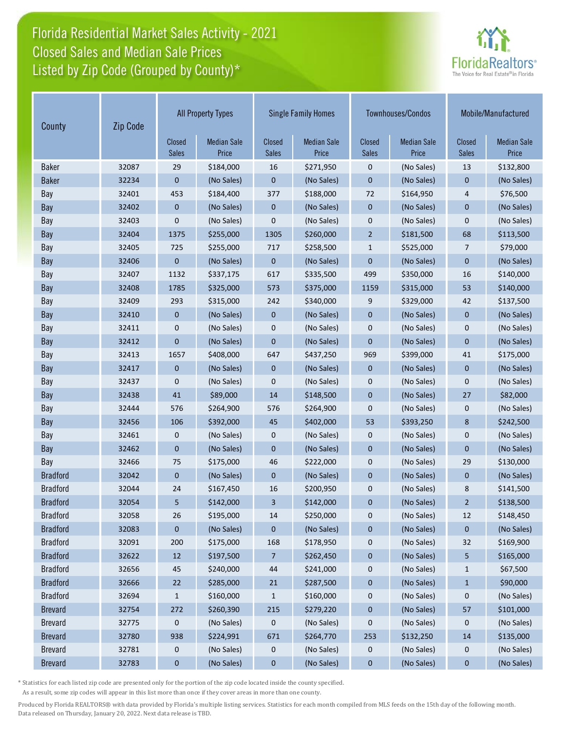## Florida Residential Market Sales Activity - 2021 Listed by Zip Code (Grouped by County)\* Closed Sales and Median Sale Prices



| County          | Zip Code | <b>All Property Types</b> |                             |                               | <b>Single Family Homes</b>  |                        | Townhouses/Condos           |                               | Mobile/Manufactured         |  |
|-----------------|----------|---------------------------|-----------------------------|-------------------------------|-----------------------------|------------------------|-----------------------------|-------------------------------|-----------------------------|--|
|                 |          | Closed<br><b>Sales</b>    | <b>Median Sale</b><br>Price | <b>Closed</b><br><b>Sales</b> | <b>Median Sale</b><br>Price | Closed<br><b>Sales</b> | <b>Median Sale</b><br>Price | <b>Closed</b><br><b>Sales</b> | <b>Median Sale</b><br>Price |  |
| <b>Baker</b>    | 32087    | 29                        | \$184,000                   | 16                            | \$271,950                   | 0                      | (No Sales)                  | 13                            | \$132,800                   |  |
| <b>Baker</b>    | 32234    | $\mathbf{0}$              | (No Sales)                  | 0                             | (No Sales)                  | $\mathbf 0$            | (No Sales)                  | $\mathbf 0$                   | (No Sales)                  |  |
| Bay             | 32401    | 453                       | \$184,400                   | 377                           | \$188,000                   | 72                     | \$164,950                   | $\overline{4}$                | \$76,500                    |  |
| Bay             | 32402    | $\mathbf{0}$              | (No Sales)                  | $\mathbf{0}$                  | (No Sales)                  | $\overline{0}$         | (No Sales)                  | $\overline{0}$                | (No Sales)                  |  |
| Bay             | 32403    | 0                         | (No Sales)                  | 0                             | (No Sales)                  | 0                      | (No Sales)                  | 0                             | (No Sales)                  |  |
| Bay             | 32404    | 1375                      | \$255,000                   | 1305                          | \$260,000                   | $\overline{2}$         | \$181,500                   | 68                            | \$113,500                   |  |
| Bay             | 32405    | 725                       | \$255,000                   | 717                           | \$258,500                   | $\mathbf{1}$           | \$525,000                   | 7                             | \$79,000                    |  |
| Bay             | 32406    | $\mathbf{0}$              | (No Sales)                  | $\mathbf 0$                   | (No Sales)                  | $\mathbf 0$            | (No Sales)                  | $\mathbf{0}$                  | (No Sales)                  |  |
| Bay             | 32407    | 1132                      | \$337,175                   | 617                           | \$335,500                   | 499                    | \$350,000                   | 16                            | \$140,000                   |  |
| Bay             | 32408    | 1785                      | \$325,000                   | 573                           | \$375,000                   | 1159                   | \$315,000                   | 53                            | \$140,000                   |  |
| Bay             | 32409    | 293                       | \$315,000                   | 242                           | \$340,000                   | 9                      | \$329,000                   | 42                            | \$137,500                   |  |
| Bay             | 32410    | $\mathbf 0$               | (No Sales)                  | $\mathbf 0$                   | (No Sales)                  | $\mathbf 0$            | (No Sales)                  | $\mathbf{0}$                  | (No Sales)                  |  |
| Bay             | 32411    | 0                         | (No Sales)                  | 0                             | (No Sales)                  | 0                      | (No Sales)                  | $\mathbf 0$                   | (No Sales)                  |  |
| Bay             | 32412    | $\mathbf 0$               | (No Sales)                  | 0                             | (No Sales)                  | $\mathbf 0$            | (No Sales)                  | $\mathbf 0$                   | (No Sales)                  |  |
| Bay             | 32413    | 1657                      | \$408,000                   | 647                           | \$437,250                   | 969                    | \$399,000                   | 41                            | \$175,000                   |  |
| Bay             | 32417    | $\mathbf{0}$              | (No Sales)                  | $\mathbf{0}$                  | (No Sales)                  | $\mathbf{0}$           | (No Sales)                  | $\mathbf{0}$                  | (No Sales)                  |  |
| Bay             | 32437    | 0                         | (No Sales)                  | $\mathbf 0$                   | (No Sales)                  | 0                      | (No Sales)                  | 0                             | (No Sales)                  |  |
| Bay             | 32438    | 41                        | \$89,000                    | 14                            | \$148,500                   | $\mathbf 0$            | (No Sales)                  | 27                            | \$82,000                    |  |
| Bay             | 32444    | 576                       | \$264,900                   | 576                           | \$264,900                   | 0                      | (No Sales)                  | 0                             | (No Sales)                  |  |
| Bay             | 32456    | 106                       | \$392,000                   | 45                            | \$402,000                   | 53                     | \$393,250                   | 8                             | \$242,500                   |  |
| Bay             | 32461    | $\mathbf 0$               | (No Sales)                  | 0                             | (No Sales)                  | 0                      | (No Sales)                  | 0                             | (No Sales)                  |  |
| Bay             | 32462    | $\mathbf 0$               | (No Sales)                  | $\mathbf 0$                   | (No Sales)                  | $\mathbf 0$            | (No Sales)                  | $\mathbf{0}$                  | (No Sales)                  |  |
| Bay             | 32466    | 75                        | \$175,000                   | 46                            | \$222,000                   | 0                      | (No Sales)                  | 29                            | \$130,000                   |  |
| <b>Bradford</b> | 32042    | $\mathbf 0$               | (No Sales)                  | $\mathbf 0$                   | (No Sales)                  | $\mathbf 0$            | (No Sales)                  | $\mathbf 0$                   | (No Sales)                  |  |
| <b>Bradford</b> | 32044    | 24                        | \$167,450                   | 16                            | \$200,950                   | 0                      | (No Sales)                  | 8                             | \$141,500                   |  |
| <b>Bradford</b> | 32054    | 5                         | \$142,000                   | 3                             | \$142,000                   | 0                      | (No Sales)                  | $\overline{2}$                | \$138,500                   |  |
| <b>Bradford</b> | 32058    | $26\,$                    | \$195,000                   | 14                            | \$250,000                   | 0                      | (No Sales)                  | $12\,$                        | \$148,450                   |  |
| <b>Bradford</b> | 32083    | $\mathbf 0$               | (No Sales)                  | $\pmb{0}$                     | (No Sales)                  | $\pmb{0}$              | (No Sales)                  | $\pmb{0}$                     | (No Sales)                  |  |
| <b>Bradford</b> | 32091    | 200                       | \$175,000                   | 168                           | \$178,950                   | 0                      | (No Sales)                  | 32                            | \$169,900                   |  |
| <b>Bradford</b> | 32622    | $12\,$                    | \$197,500                   | 7                             | \$262,450                   | $\pmb{0}$              | (No Sales)                  | 5                             | \$165,000                   |  |
| <b>Bradford</b> | 32656    | 45                        | \$240,000                   | 44                            | \$241,000                   | 0                      | (No Sales)                  | $\mathbf{1}$                  | \$67,500                    |  |
| <b>Bradford</b> | 32666    | 22                        | \$285,000                   | 21                            | \$287,500                   | $\pmb{0}$              | (No Sales)                  | $\mathbf{1}$                  | \$90,000                    |  |
| <b>Bradford</b> | 32694    | 1                         | \$160,000                   | 1                             | \$160,000                   | 0                      | (No Sales)                  | $\pmb{0}$                     | (No Sales)                  |  |
| <b>Brevard</b>  | 32754    | 272                       | \$260,390                   | 215                           | \$279,220                   | 0                      | (No Sales)                  | 57                            | \$101,000                   |  |
| <b>Brevard</b>  | 32775    | 0                         | (No Sales)                  | 0                             | (No Sales)                  | 0                      | (No Sales)                  | 0                             | (No Sales)                  |  |
| <b>Brevard</b>  | 32780    | 938                       | \$224,991                   | 671                           | \$264,770                   | 253                    | \$132,250                   | 14                            | \$135,000                   |  |
| <b>Brevard</b>  | 32781    | $\boldsymbol{0}$          | (No Sales)                  | 0                             | (No Sales)                  | 0                      | (No Sales)                  | 0                             | (No Sales)                  |  |
| <b>Brevard</b>  | 32783    | 0                         | (No Sales)                  | 0                             | (No Sales)                  | 0                      | (No Sales)                  | 0                             | (No Sales)                  |  |

\* Statistics for each listed zip code are presented only for the portion of the zip code located inside the county specified.

As a result, some zip codes will appear in this list more than once if they cover areas in more than one county.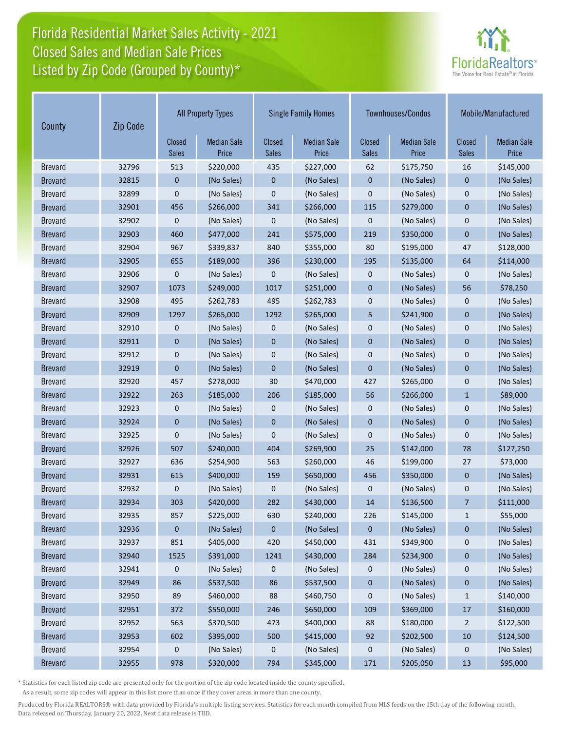## Florida Residential Market Sales Activity - 2021 Listed by Zip Code (Grouped by County)\* Closed Sales and Median Sale Prices



| County         | Zip Code | <b>All Property Types</b> |                             |                        | <b>Single Family Homes</b>  |                        | Townhouses/Condos           | Mobile/Manufactured    |                             |
|----------------|----------|---------------------------|-----------------------------|------------------------|-----------------------------|------------------------|-----------------------------|------------------------|-----------------------------|
|                |          | Closed<br><b>Sales</b>    | <b>Median Sale</b><br>Price | Closed<br><b>Sales</b> | <b>Median Sale</b><br>Price | Closed<br><b>Sales</b> | <b>Median Sale</b><br>Price | Closed<br><b>Sales</b> | <b>Median Sale</b><br>Price |
| <b>Brevard</b> | 32796    | 513                       | \$220,000                   | 435                    | \$227,000                   | 62                     | \$175,750                   | 16                     | \$145,000                   |
| <b>Brevard</b> | 32815    | $\mathbf{0}$              | (No Sales)                  | $\mathbf 0$            | (No Sales)                  | $\mathbf 0$            | (No Sales)                  | $\mathbf 0$            | (No Sales)                  |
| <b>Brevard</b> | 32899    | 0                         | (No Sales)                  | $\mathbf{0}$           | (No Sales)                  | $\mathbf 0$            | (No Sales)                  | $\mathbf 0$            | (No Sales)                  |
| <b>Brevard</b> | 32901    | 456                       | \$266,000                   | 341                    | \$266,000                   | 115                    | \$279,000                   | $\mathbf 0$            | (No Sales)                  |
| <b>Brevard</b> | 32902    | 0                         | (No Sales)                  | 0                      | (No Sales)                  | 0                      | (No Sales)                  | $\mathbf 0$            | (No Sales)                  |
| <b>Brevard</b> | 32903    | 460                       | \$477,000                   | 241                    | \$575,000                   | 219                    | \$350,000                   | $\mathbf{0}$           | (No Sales)                  |
| <b>Brevard</b> | 32904    | 967                       | \$339,837                   | 840                    | \$355,000                   | 80                     | \$195,000                   | 47                     | \$128,000                   |
| <b>Brevard</b> | 32905    | 655                       | \$189,000                   | 396                    | \$230,000                   | 195                    | \$135,000                   | 64                     | \$114,000                   |
| <b>Brevard</b> | 32906    | 0                         | (No Sales)                  | 0                      | (No Sales)                  | $\mathbf 0$            | (No Sales)                  | 0                      | (No Sales)                  |
| <b>Brevard</b> | 32907    | 1073                      | \$249,000                   | 1017                   | \$251,000                   | $\mathbf 0$            | (No Sales)                  | 56                     | \$78,250                    |
| <b>Brevard</b> | 32908    | 495                       | \$262,783                   | 495                    | \$262,783                   | $\boldsymbol{0}$       | (No Sales)                  | $\mathbf 0$            | (No Sales)                  |
| <b>Brevard</b> | 32909    | 1297                      | \$265,000                   | 1292                   | \$265,000                   | 5                      | \$241,900                   | $\mathbf 0$            | (No Sales)                  |
| <b>Brevard</b> | 32910    | 0                         | (No Sales)                  | 0                      | (No Sales)                  | $\pmb{0}$              | (No Sales)                  | $\mathbf 0$            | (No Sales)                  |
| <b>Brevard</b> | 32911    | 0                         | (No Sales)                  | $\mathbf 0$            | (No Sales)                  | $\mathbf 0$            | (No Sales)                  | $\mathbf 0$            | (No Sales)                  |
| <b>Brevard</b> | 32912    | 0                         | (No Sales)                  | 0                      | (No Sales)                  | $\boldsymbol{0}$       | (No Sales)                  | $\mathbf 0$            | (No Sales)                  |
| <b>Brevard</b> | 32919    | $\overline{0}$            | (No Sales)                  | $\overline{0}$         | (No Sales)                  | $\mathbf 0$            | (No Sales)                  | $\overline{0}$         | (No Sales)                  |
| <b>Brevard</b> | 32920    | 457                       | \$278,000                   | 30                     | \$470,000                   | 427                    | \$265,000                   | $\mathbf 0$            | (No Sales)                  |
| <b>Brevard</b> | 32922    | 263                       | \$185,000                   | 206                    | \$185,000                   | 56                     | \$266,000                   | $\mathbf{1}$           | \$89,000                    |
| <b>Brevard</b> | 32923    | 0                         | (No Sales)                  | 0                      | (No Sales)                  | $\mathbf 0$            | (No Sales)                  | $\mathbf 0$            | (No Sales)                  |
| <b>Brevard</b> | 32924    | 0                         | (No Sales)                  | $\pmb{0}$              | (No Sales)                  | $\pmb{0}$              | (No Sales)                  | $\mathbf 0$            | (No Sales)                  |
| <b>Brevard</b> | 32925    | 0                         | (No Sales)                  | 0                      | (No Sales)                  | $\mathbf 0$            | (No Sales)                  | $\mathbf 0$            | (No Sales)                  |
| <b>Brevard</b> | 32926    | 507                       | \$240,000                   | 404                    | \$269,900                   | 25                     | \$142,000                   | 78                     | \$127,250                   |
| <b>Brevard</b> | 32927    | 636                       | \$254,900                   | 563                    | \$260,000                   | 46                     | \$199,000                   | 27                     | \$73,000                    |
| <b>Brevard</b> | 32931    | 615                       | \$400,000                   | 159                    | \$650,000                   | 456                    | \$350,000                   | $\mathbf 0$            | (No Sales)                  |
| <b>Brevard</b> | 32932    | 0                         | (No Sales)                  | 0                      | (No Sales)                  | 0                      | (No Sales)                  | 0                      | (No Sales)                  |
| <b>Brevard</b> | 32934    | 303                       | \$420,000                   | 282                    | \$430,000                   | 14                     | \$136,500                   | $\overline{7}$         | \$111,000                   |
| <b>Brevard</b> | 32935    | 857                       | \$225,000                   | 630                    | \$240,000                   | 226                    | \$145,000                   | $\mathbf{1}$           | \$55,000                    |
| <b>Brevard</b> | 32936    | 0                         | (No Sales)                  | 0                      | (No Sales)                  | $\pmb{0}$              | (No Sales)                  | $\pmb{0}$              | (No Sales)                  |
| <b>Brevard</b> | 32937    | 851                       | \$405,000                   | 420                    | \$450,000                   | 431                    | \$349,900                   | 0                      | (No Sales)                  |
| <b>Brevard</b> | 32940    | 1525                      | \$391,000                   | 1241                   | \$430,000                   | 284                    | \$234,900                   | 0                      | (No Sales)                  |
| <b>Brevard</b> | 32941    | 0                         | (No Sales)                  | 0                      | (No Sales)                  | 0                      | (No Sales)                  | 0                      | (No Sales)                  |
| <b>Brevard</b> | 32949    | 86                        | \$537,500                   | 86                     | \$537,500                   | $\pmb{0}$              | (No Sales)                  | $\pmb{0}$              | (No Sales)                  |
| <b>Brevard</b> | 32950    | 89                        | \$460,000                   | 88                     | \$460,750                   | $\pmb{0}$              | (No Sales)                  | $\mathbf{1}$           | \$140,000                   |
| <b>Brevard</b> | 32951    | 372                       | \$550,000                   | 246                    | \$650,000                   | 109                    | \$369,000                   | $17$                   | \$160,000                   |
| <b>Brevard</b> | 32952    | 563                       | \$370,500                   | 473                    | \$400,000                   | 88                     | \$180,000                   | $\overline{2}$         | \$122,500                   |
| <b>Brevard</b> | 32953    | 602                       | \$395,000                   | 500                    | \$415,000                   | 92                     | \$202,500                   | $10\,$                 | \$124,500                   |
| <b>Brevard</b> | 32954    | 0                         | (No Sales)                  | 0                      | (No Sales)                  | 0                      | (No Sales)                  | 0                      | (No Sales)                  |
| <b>Brevard</b> | 32955    | 978                       | \$320,000                   | 794                    | \$345,000                   | 171                    | \$205,050                   | 13                     | \$95,000                    |

\* Statistics for each listed zip code are presented only for the portion of the zip code located inside the county specified.

As a result, some zip codes will appear in this list more than once if they cover areas in more than one county.